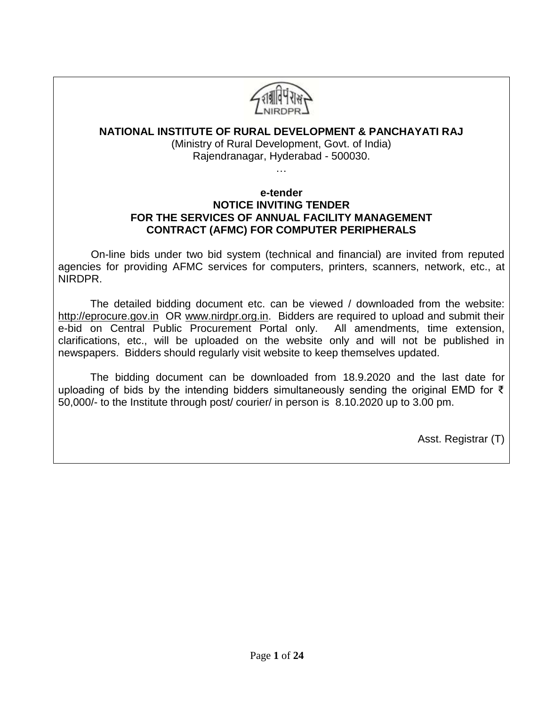

### **NATIONAL INSTITUTE OF RURAL DEVELOPMENT & PANCHAYATI RAJ**

(Ministry of Rural Development, Govt. of India) Rajendranagar, Hyderabad - 500030.

…

#### **e-tender NOTICE INVITING TENDER FOR THE SERVICES OF ANNUAL FACILITY MANAGEMENT CONTRACT (AFMC) FOR COMPUTER PERIPHERALS**

 On-line bids under two bid system (technical and financial) are invited from reputed agencies for providing AFMC services for computers, printers, scanners, network, etc., at NIRDPR.

The detailed bidding document etc. can be viewed / downloaded from the website: [http://eprocure.gov.in](http://eprocure.gov.in/) OR [www.nirdpr.org.in.](http://www.nirdpr.org.in/) Bidders are required to upload and submit their e-bid on Central Public Procurement Portal only. All amendments, time extension, clarifications, etc., will be uploaded on the website only and will not be published in newspapers. Bidders should regularly visit website to keep themselves updated.

The bidding document can be downloaded from 18.9.2020 and the last date for uploading of bids by the intending bidders simultaneously sending the original EMD for  $\bar{\tau}$ 50,000/- to the Institute through post/ courier/ in person is 8.10.2020 up to 3.00 pm.

Asst. Registrar (T)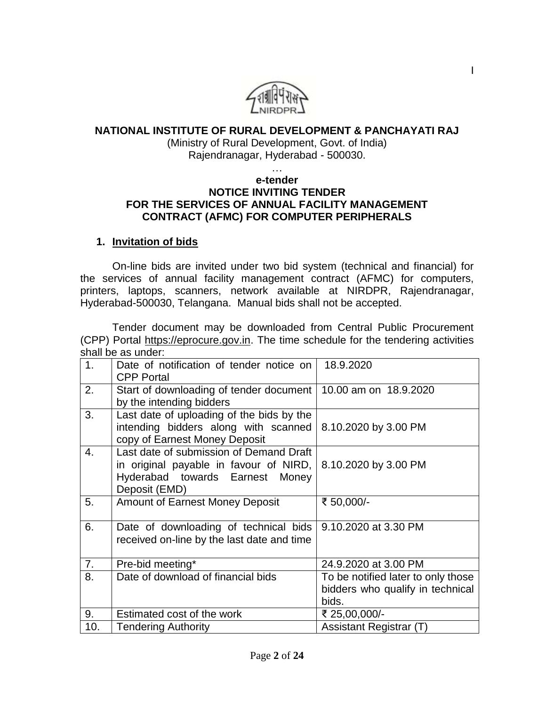

#### **NATIONAL INSTITUTE OF RURAL DEVELOPMENT & PANCHAYATI RAJ**

(Ministry of Rural Development, Govt. of India) Rajendranagar, Hyderabad - 500030.

…

#### **e-tender NOTICE INVITING TENDER FOR THE SERVICES OF ANNUAL FACILITY MANAGEMENT CONTRACT (AFMC) FOR COMPUTER PERIPHERALS**

#### **1. Invitation of bids**

On-line bids are invited under two bid system (technical and financial) for the services of annual facility management contract (AFMC) for computers, printers, laptops, scanners, network available at NIRDPR, Rajendranagar, Hyderabad-500030, Telangana. Manual bids shall not be accepted.

Tender document may be downloaded from Central Public Procurement (CPP) Portal [https://eprocure.gov.in.](https://eprocure.gov.in/) The time schedule for the tendering activities shall be as under:

| 1 <sub>1</sub> | Date of notification of tender notice on<br><b>CPP Portal</b>                                                                         | 18.9.2020                                                                       |
|----------------|---------------------------------------------------------------------------------------------------------------------------------------|---------------------------------------------------------------------------------|
| 2.             | Start of downloading of tender document   10.00 am on 18.9.2020<br>by the intending bidders                                           |                                                                                 |
| 3.             | Last date of uploading of the bids by the<br>intending bidders along with scanned<br>copy of Earnest Money Deposit                    | 8.10.2020 by 3.00 PM                                                            |
| 4.             | Last date of submission of Demand Draft<br>in original payable in favour of NIRD,<br>Hyderabad towards Earnest Money<br>Deposit (EMD) | 8.10.2020 by 3.00 PM                                                            |
| 5.             | <b>Amount of Earnest Money Deposit</b>                                                                                                | ₹ 50,000/-                                                                      |
| 6.             | Date of downloading of technical bids<br>received on-line by the last date and time                                                   | 9.10.2020 at 3.30 PM                                                            |
| 7.             | Pre-bid meeting*                                                                                                                      | 24.9.2020 at 3.00 PM                                                            |
| 8.             | Date of download of financial bids                                                                                                    | To be notified later to only those<br>bidders who qualify in technical<br>bids. |
| 9.             | Estimated cost of the work                                                                                                            | ₹ 25,00,000/-                                                                   |
| 10.            | <b>Tendering Authority</b>                                                                                                            | Assistant Registrar (T)                                                         |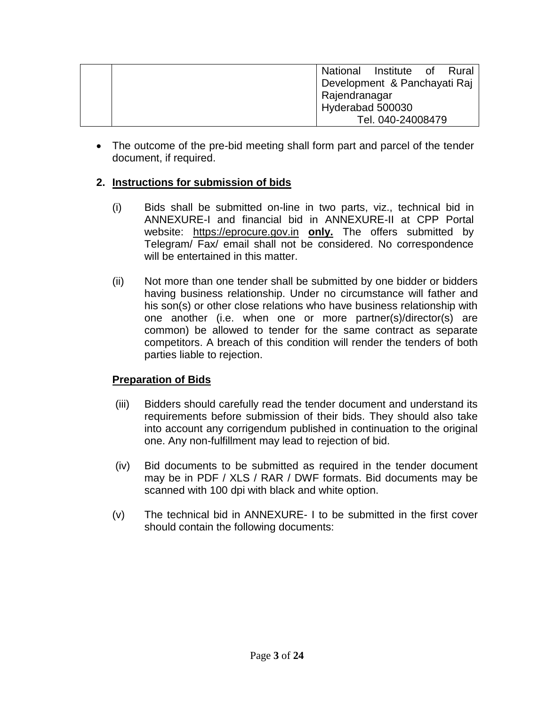|  |                  | National Institute of Rural  |  |
|--|------------------|------------------------------|--|
|  |                  | Development & Panchayati Raj |  |
|  | Rajendranagar    |                              |  |
|  | Hyderabad 500030 |                              |  |
|  |                  | Tel. 040-24008479            |  |

 The outcome of the pre-bid meeting shall form part and parcel of the tender document, if required.

## **2. Instructions for submission of bids**

- (i) Bids shall be submitted on-line in two parts, viz., technical bid in ANNEXURE-I and financial bid in ANNEXURE-II at CPP Portal website: [https://eprocure.gov.in](https://eprocure.gov.in/) **only.** The offers submitted by Telegram/ Fax/ email shall not be considered. No correspondence will be entertained in this matter.
- (ii) Not more than one tender shall be submitted by one bidder or bidders having business relationship. Under no circumstance will father and his son(s) or other close relations who have business relationship with one another (i.e. when one or more partner(s)/director(s) are common) be allowed to tender for the same contract as separate competitors. A breach of this condition will render the tenders of both parties liable to rejection.

### **Preparation of Bids**

- (iii) Bidders should carefully read the tender document and understand its requirements before submission of their bids. They should also take into account any corrigendum published in continuation to the original one. Any non-fulfillment may lead to rejection of bid.
- (iv) Bid documents to be submitted as required in the tender document may be in PDF / XLS / RAR / DWF formats. Bid documents may be scanned with 100 dpi with black and white option.
- (v) The technical bid in ANNEXURE- I to be submitted in the first cover should contain the following documents: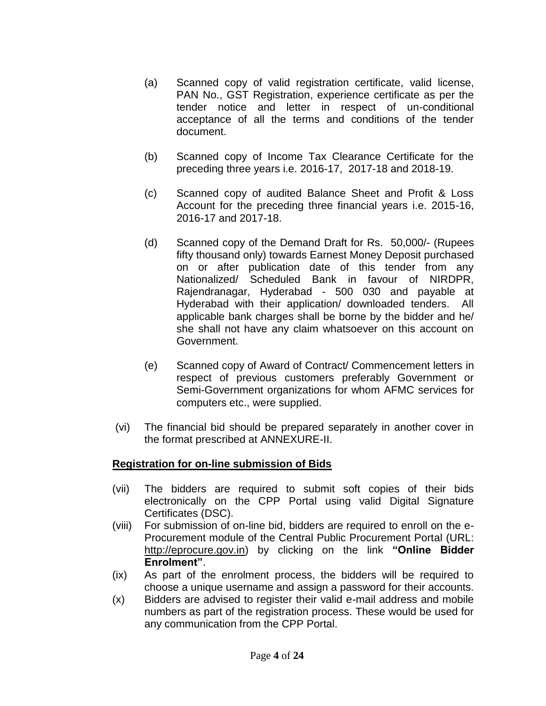- (a) Scanned copy of valid registration certificate, valid license, PAN No., GST Registration, experience certificate as per the tender notice and letter in respect of un-conditional acceptance of all the terms and conditions of the tender document.
- (b) Scanned copy of Income Tax Clearance Certificate for the preceding three years i.e. 2016-17, 2017-18 and 2018-19.
- (c) Scanned copy of audited Balance Sheet and Profit & Loss Account for the preceding three financial years i.e. 2015-16, 2016-17 and 2017-18.
- (d) Scanned copy of the Demand Draft for Rs. 50,000/- (Rupees fifty thousand only) towards Earnest Money Deposit purchased on or after publication date of this tender from any Nationalized/ Scheduled Bank in favour of NIRDPR, Rajendranagar, Hyderabad - 500 030 and payable at Hyderabad with their application/ downloaded tenders. All applicable bank charges shall be borne by the bidder and he/ she shall not have any claim whatsoever on this account on Government.
- (e) Scanned copy of Award of Contract/ Commencement letters in respect of previous customers preferably Government or Semi-Government organizations for whom AFMC services for computers etc., were supplied.
- (vi) The financial bid should be prepared separately in another cover in the format prescribed at ANNEXURE-II.

### **Registration for on-line submission of Bids**

- (vii) The bidders are required to submit soft copies of their bids electronically on the CPP Portal using valid Digital Signature Certificates (DSC).
- (viii) For submission of on-line bid, bidders are required to enroll on the e-Procurement module of the Central Public Procurement Portal (URL: [http://eprocure.gov.in\)](http://eprocure.gov.in/eprocure/app) by clicking on the link **"Online Bidder Enrolment"**.
- (ix) As part of the enrolment process, the bidders will be required to choose a unique username and assign a password for their accounts.
- (x) Bidders are advised to register their valid e-mail address and mobile numbers as part of the registration process. These would be used for any communication from the CPP Portal.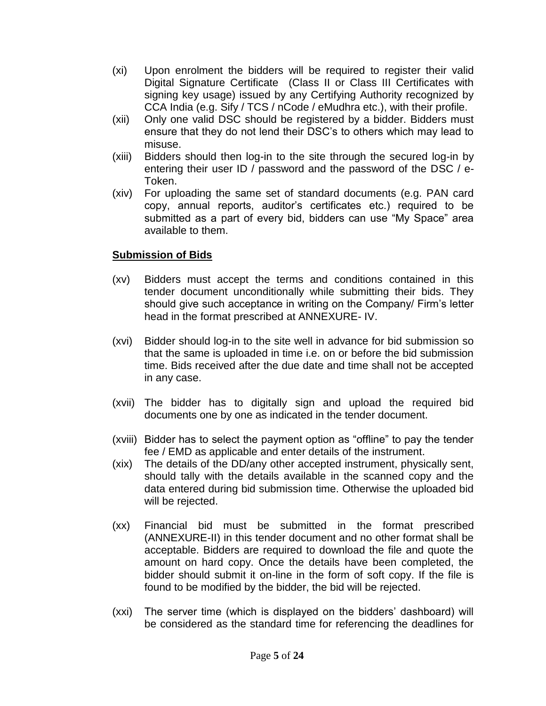- (xi) Upon enrolment the bidders will be required to register their valid Digital Signature Certificate (Class II or Class III Certificates with signing key usage) issued by any Certifying Authority recognized by CCA India (e.g. Sify / TCS / nCode / eMudhra etc.), with their profile.
- (xii) Only one valid DSC should be registered by a bidder. Bidders must ensure that they do not lend their DSC's to others which may lead to misuse.
- (xiii) Bidders should then log-in to the site through the secured log-in by entering their user ID / password and the password of the DSC / e-Token.
- (xiv) For uploading the same set of standard documents (e.g. PAN card copy, annual reports, auditor's certificates etc.) required to be submitted as a part of every bid, bidders can use "My Space" area available to them.

## **Submission of Bids**

- (xv) Bidders must accept the terms and conditions contained in this tender document unconditionally while submitting their bids. They should give such acceptance in writing on the Company/ Firm's letter head in the format prescribed at ANNEXURE- IV.
- (xvi) Bidder should log-in to the site well in advance for bid submission so that the same is uploaded in time i.e. on or before the bid submission time. Bids received after the due date and time shall not be accepted in any case.
- (xvii) The bidder has to digitally sign and upload the required bid documents one by one as indicated in the tender document.
- (xviii) Bidder has to select the payment option as "offline" to pay the tender fee / EMD as applicable and enter details of the instrument.
- (xix) The details of the DD/any other accepted instrument, physically sent, should tally with the details available in the scanned copy and the data entered during bid submission time. Otherwise the uploaded bid will be rejected.
- (xx) Financial bid must be submitted in the format prescribed (ANNEXURE-II) in this tender document and no other format shall be acceptable. Bidders are required to download the file and quote the amount on hard copy. Once the details have been completed, the bidder should submit it on-line in the form of soft copy. If the file is found to be modified by the bidder, the bid will be rejected.
- (xxi) The server time (which is displayed on the bidders' dashboard) will be considered as the standard time for referencing the deadlines for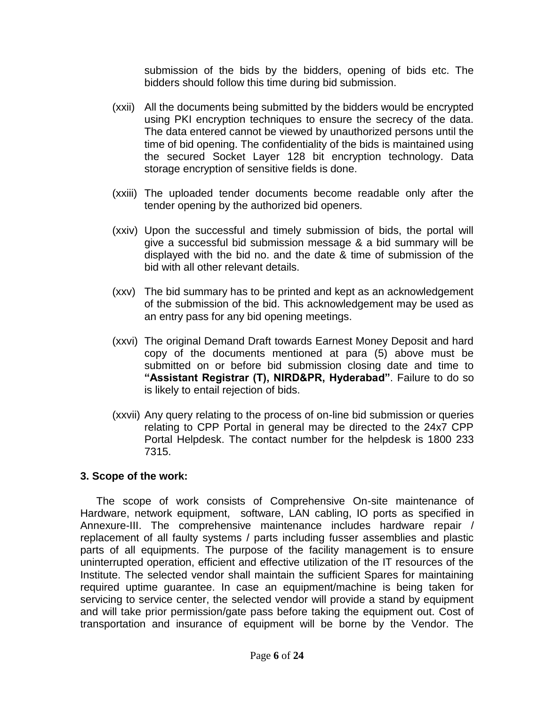submission of the bids by the bidders, opening of bids etc. The bidders should follow this time during bid submission.

- (xxii) All the documents being submitted by the bidders would be encrypted using PKI encryption techniques to ensure the secrecy of the data. The data entered cannot be viewed by unauthorized persons until the time of bid opening. The confidentiality of the bids is maintained using the secured Socket Layer 128 bit encryption technology. Data storage encryption of sensitive fields is done.
- (xxiii) The uploaded tender documents become readable only after the tender opening by the authorized bid openers.
- (xxiv) Upon the successful and timely submission of bids, the portal will give a successful bid submission message & a bid summary will be displayed with the bid no. and the date & time of submission of the bid with all other relevant details.
- (xxv) The bid summary has to be printed and kept as an acknowledgement of the submission of the bid. This acknowledgement may be used as an entry pass for any bid opening meetings.
- (xxvi) The original Demand Draft towards Earnest Money Deposit and hard copy of the documents mentioned at para (5) above must be submitted on or before bid submission closing date and time to **"Assistant Registrar (T), NIRD&PR, Hyderabad"**. Failure to do so is likely to entail rejection of bids.
- (xxvii) Any query relating to the process of on-line bid submission or queries relating to CPP Portal in general may be directed to the 24x7 CPP Portal Helpdesk. The contact number for the helpdesk is 1800 233 7315.

#### **3. Scope of the work:**

The scope of work consists of Comprehensive On-site maintenance of Hardware, network equipment, software, LAN cabling, IO ports as specified in Annexure-III. The comprehensive maintenance includes hardware repair / replacement of all faulty systems / parts including fusser assemblies and plastic parts of all equipments. The purpose of the facility management is to ensure uninterrupted operation, efficient and effective utilization of the IT resources of the Institute. The selected vendor shall maintain the sufficient Spares for maintaining required uptime guarantee. In case an equipment/machine is being taken for servicing to service center, the selected vendor will provide a stand by equipment and will take prior permission/gate pass before taking the equipment out. Cost of transportation and insurance of equipment will be borne by the Vendor. The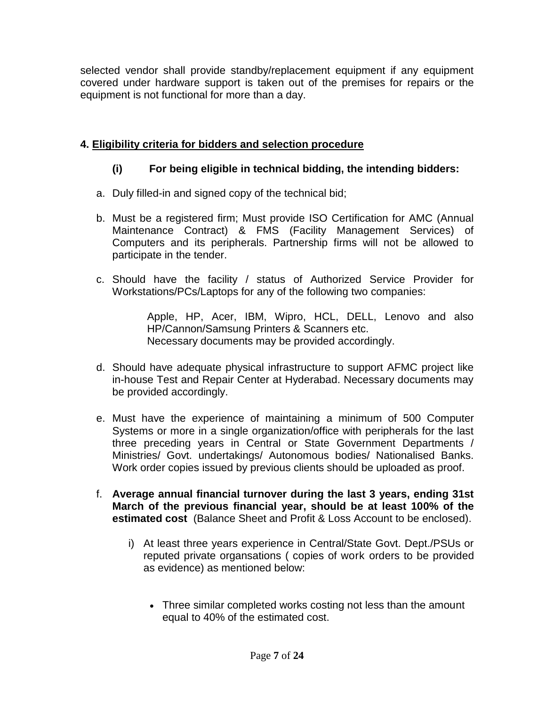selected vendor shall provide standby/replacement equipment if any equipment covered under hardware support is taken out of the premises for repairs or the equipment is not functional for more than a day.

# **4. Eligibility criteria for bidders and selection procedure**

# **(i) For being eligible in technical bidding, the intending bidders:**

- a. Duly filled-in and signed copy of the technical bid;
- b. Must be a registered firm; Must provide ISO Certification for AMC (Annual Maintenance Contract) & FMS (Facility Management Services) of Computers and its peripherals. Partnership firms will not be allowed to participate in the tender.
- c. Should have the facility / status of Authorized Service Provider for Workstations/PCs/Laptops for any of the following two companies:

Apple, HP, Acer, IBM, Wipro, HCL, DELL, Lenovo and also HP/Cannon/Samsung Printers & Scanners etc. Necessary documents may be provided accordingly.

- d. Should have adequate physical infrastructure to support AFMC project like in-house Test and Repair Center at Hyderabad. Necessary documents may be provided accordingly.
- e. Must have the experience of maintaining a minimum of 500 Computer Systems or more in a single organization/office with peripherals for the last three preceding years in Central or State Government Departments / Ministries/ Govt. undertakings/ Autonomous bodies/ Nationalised Banks. Work order copies issued by previous clients should be uploaded as proof.
- f. **Average annual financial turnover during the last 3 years, ending 31st March of the previous financial year, should be at least 100% of the estimated cost** (Balance Sheet and Profit & Loss Account to be enclosed).
	- i) At least three years experience in Central/State Govt. Dept./PSUs or reputed private organsations ( copies of work orders to be provided as evidence) as mentioned below:
		- Three similar completed works costing not less than the amount equal to 40% of the estimated cost.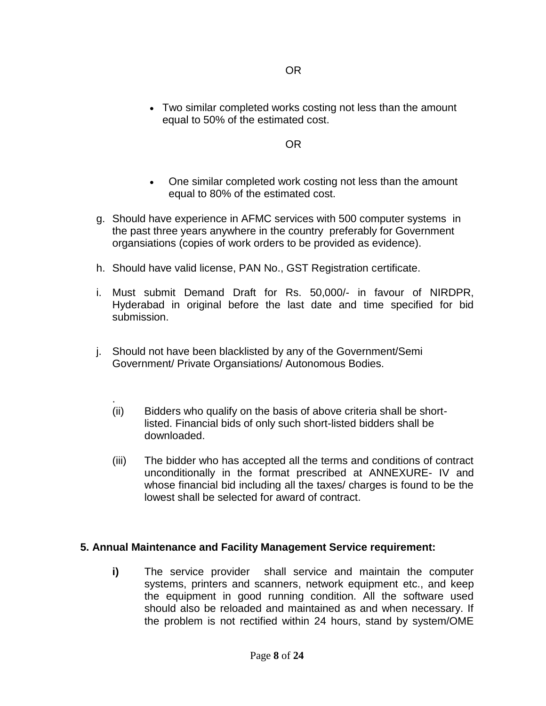Two similar completed works costing not less than the amount equal to 50% of the estimated cost.

OR

- One similar completed work costing not less than the amount equal to 80% of the estimated cost.
- g. Should have experience in AFMC services with 500 computer systems in the past three years anywhere in the country preferably for Government organsiations (copies of work orders to be provided as evidence).
- h. Should have valid license, PAN No., GST Registration certificate.
- i. Must submit Demand Draft for Rs. 50,000/- in favour of NIRDPR, Hyderabad in original before the last date and time specified for bid submission.
- j. Should not have been blacklisted by any of the Government/Semi Government/ Private Organsiations/ Autonomous Bodies.
	- . (ii) Bidders who qualify on the basis of above criteria shall be shortlisted. Financial bids of only such short-listed bidders shall be downloaded.
	- (iii) The bidder who has accepted all the terms and conditions of contract unconditionally in the format prescribed at ANNEXURE- IV and whose financial bid including all the taxes/ charges is found to be the lowest shall be selected for award of contract.

### **5. Annual Maintenance and Facility Management Service requirement:**

**i)** The service provider shall service and maintain the computer systems, printers and scanners, network equipment etc., and keep the equipment in good running condition. All the software used should also be reloaded and maintained as and when necessary. If the problem is not rectified within 24 hours, stand by system/OME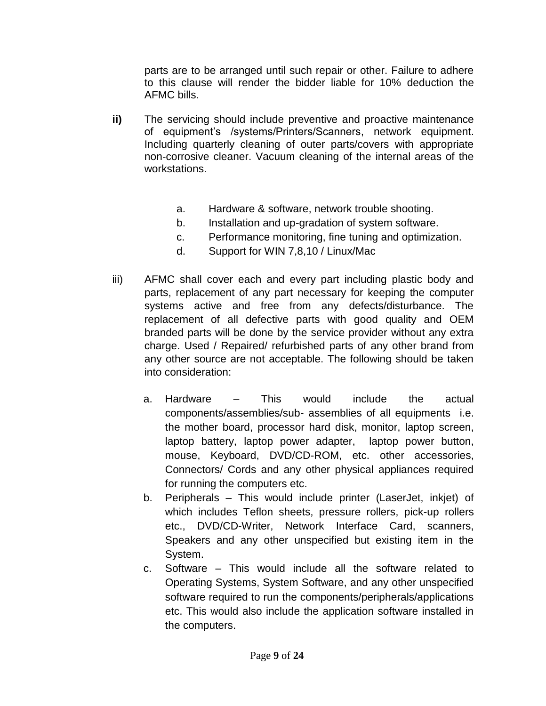parts are to be arranged until such repair or other. Failure to adhere to this clause will render the bidder liable for 10% deduction the AFMC bills.

- **ii)** The servicing should include preventive and proactive maintenance of equipment's /systems/Printers/Scanners, network equipment. Including quarterly cleaning of outer parts/covers with appropriate non-corrosive cleaner. Vacuum cleaning of the internal areas of the workstations.
	- a. Hardware & software, network trouble shooting.
	- b. Installation and up-gradation of system software.
	- c. Performance monitoring, fine tuning and optimization.
	- d. Support for WIN 7,8,10 / Linux/Mac
- iii) AFMC shall cover each and every part including plastic body and parts, replacement of any part necessary for keeping the computer systems active and free from any defects/disturbance. The replacement of all defective parts with good quality and OEM branded parts will be done by the service provider without any extra charge. Used / Repaired/ refurbished parts of any other brand from any other source are not acceptable. The following should be taken into consideration:
	- a. Hardware This would include the actual components/assemblies/sub- assemblies of all equipments i.e. the mother board, processor hard disk, monitor, laptop screen, laptop battery, laptop power adapter, laptop power button, mouse, Keyboard, DVD/CD-ROM, etc. other accessories, Connectors/ Cords and any other physical appliances required for running the computers etc.
	- b. Peripherals This would include printer (LaserJet, inkjet) of which includes Teflon sheets, pressure rollers, pick-up rollers etc., DVD/CD-Writer, Network Interface Card, scanners, Speakers and any other unspecified but existing item in the System.
	- c. Software This would include all the software related to Operating Systems, System Software, and any other unspecified software required to run the components/peripherals/applications etc. This would also include the application software installed in the computers.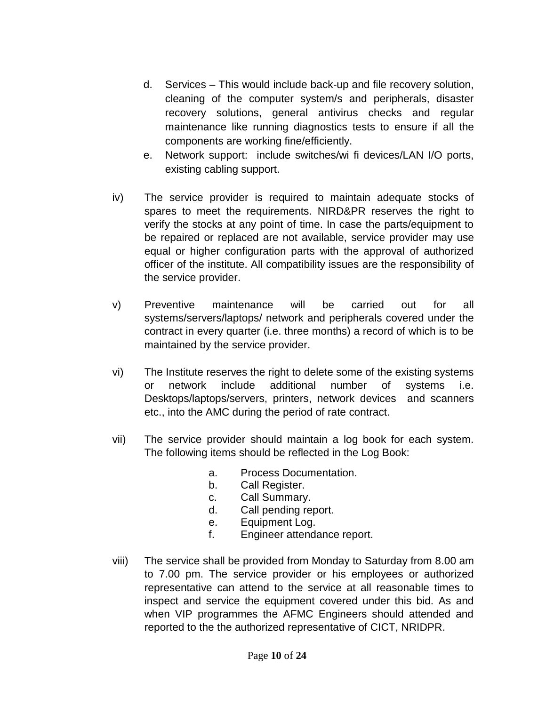- d. Services This would include back-up and file recovery solution, cleaning of the computer system/s and peripherals, disaster recovery solutions, general antivirus checks and regular maintenance like running diagnostics tests to ensure if all the components are working fine/efficiently.
- e. Network support: include switches/wi fi devices/LAN I/O ports, existing cabling support.
- iv) The service provider is required to maintain adequate stocks of spares to meet the requirements. NIRD&PR reserves the right to verify the stocks at any point of time. In case the parts/equipment to be repaired or replaced are not available, service provider may use equal or higher configuration parts with the approval of authorized officer of the institute. All compatibility issues are the responsibility of the service provider.
- v) Preventive maintenance will be carried out for all systems/servers/laptops/ network and peripherals covered under the contract in every quarter (i.e. three months) a record of which is to be maintained by the service provider.
- vi) The Institute reserves the right to delete some of the existing systems or network include additional number of systems i.e. Desktops/laptops/servers, printers, network devices and scanners etc., into the AMC during the period of rate contract.
- vii) The service provider should maintain a log book for each system. The following items should be reflected in the Log Book:
	- a. Process Documentation.
	- b. Call Register.
	- c. Call Summary.
	- d. Call pending report.
	- e. Equipment Log.
	- f. Engineer attendance report.
- viii) The service shall be provided from Monday to Saturday from 8.00 am to 7.00 pm. The service provider or his employees or authorized representative can attend to the service at all reasonable times to inspect and service the equipment covered under this bid. As and when VIP programmes the AFMC Engineers should attended and reported to the the authorized representative of CICT, NRIDPR.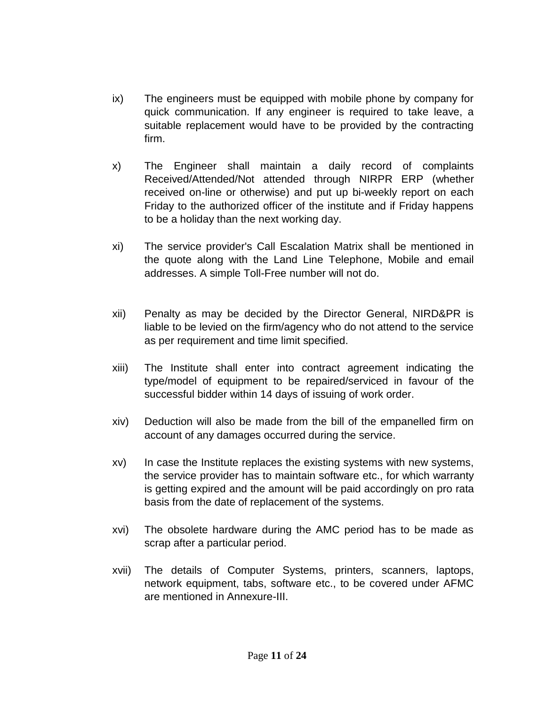- ix) The engineers must be equipped with mobile phone by company for quick communication. If any engineer is required to take leave, a suitable replacement would have to be provided by the contracting firm.
- x) The Engineer shall maintain a daily record of complaints Received/Attended/Not attended through NIRPR ERP (whether received on-line or otherwise) and put up bi-weekly report on each Friday to the authorized officer of the institute and if Friday happens to be a holiday than the next working day.
- xi) The service provider's Call Escalation Matrix shall be mentioned in the quote along with the Land Line Telephone, Mobile and email addresses. A simple Toll-Free number will not do.
- xii) Penalty as may be decided by the Director General, NIRD&PR is liable to be levied on the firm/agency who do not attend to the service as per requirement and time limit specified.
- xiii) The Institute shall enter into contract agreement indicating the type/model of equipment to be repaired/serviced in favour of the successful bidder within 14 days of issuing of work order.
- xiv) Deduction will also be made from the bill of the empanelled firm on account of any damages occurred during the service.
- xv) In case the Institute replaces the existing systems with new systems, the service provider has to maintain software etc., for which warranty is getting expired and the amount will be paid accordingly on pro rata basis from the date of replacement of the systems.
- xvi) The obsolete hardware during the AMC period has to be made as scrap after a particular period.
- xvii) The details of Computer Systems, printers, scanners, laptops, network equipment, tabs, software etc., to be covered under AFMC are mentioned in Annexure-III.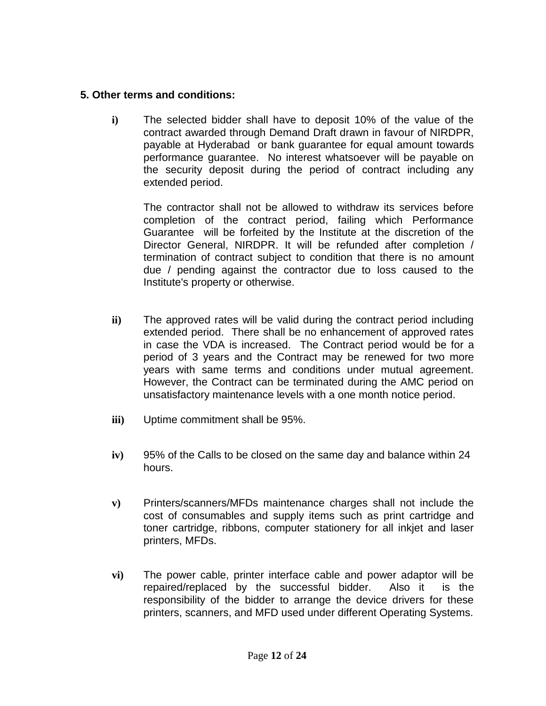### **5. Other terms and conditions:**

**i)** The selected bidder shall have to deposit 10% of the value of the contract awarded through Demand Draft drawn in favour of NIRDPR, payable at Hyderabad or bank guarantee for equal amount towards performance guarantee. No interest whatsoever will be payable on the security deposit during the period of contract including any extended period.

The contractor shall not be allowed to withdraw its services before completion of the contract period, failing which Performance Guarantee will be forfeited by the Institute at the discretion of the Director General, NIRDPR. It will be refunded after completion / termination of contract subject to condition that there is no amount due / pending against the contractor due to loss caused to the Institute's property or otherwise.

- **ii)** The approved rates will be valid during the contract period including extended period. There shall be no enhancement of approved rates in case the VDA is increased. The Contract period would be for a period of 3 years and the Contract may be renewed for two more years with same terms and conditions under mutual agreement. However, the Contract can be terminated during the AMC period on unsatisfactory maintenance levels with a one month notice period.
- **iii)** Uptime commitment shall be 95%.
- **iv)** 95% of the Calls to be closed on the same day and balance within 24 hours.
- **v)** Printers/scanners/MFDs maintenance charges shall not include the cost of consumables and supply items such as print cartridge and toner cartridge, ribbons, computer stationery for all inkjet and laser printers, MFDs.
- **vi)** The power cable, printer interface cable and power adaptor will be repaired/replaced by the successful bidder. Also it is the responsibility of the bidder to arrange the device drivers for these printers, scanners, and MFD used under different Operating Systems.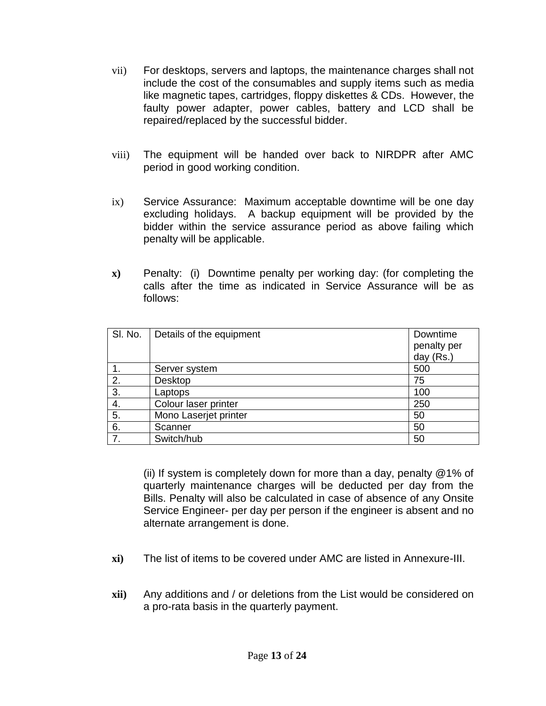- vii) For desktops, servers and laptops, the maintenance charges shall not include the cost of the consumables and supply items such as media like magnetic tapes, cartridges, floppy diskettes & CDs. However, the faulty power adapter, power cables, battery and LCD shall be repaired/replaced by the successful bidder.
- viii) The equipment will be handed over back to NIRDPR after AMC period in good working condition.
- ix) Service Assurance: Maximum acceptable downtime will be one day excluding holidays. A backup equipment will be provided by the bidder within the service assurance period as above failing which penalty will be applicable.
- **x)** Penalty: (i) Downtime penalty per working day: (for completing the calls after the time as indicated in Service Assurance will be as follows:

| SI. No. | Details of the equipment | Downtime    |
|---------|--------------------------|-------------|
|         |                          | penalty per |
|         |                          | day (Rs.)   |
|         | Server system            | 500         |
| 2.      | Desktop                  | 75          |
| 3.      | Laptops                  | 100         |
| 4.      | Colour laser printer     | 250         |
| 5.      | Mono Laserjet printer    | 50          |
| 6.      | Scanner                  | 50          |
| 7       | Switch/hub               | 50          |

(ii) If system is completely down for more than a day, penalty @1% of quarterly maintenance charges will be deducted per day from the Bills. Penalty will also be calculated in case of absence of any Onsite Service Engineer- per day per person if the engineer is absent and no alternate arrangement is done.

- **xi)** The list of items to be covered under AMC are listed in Annexure-III.
- **xii)** Any additions and / or deletions from the List would be considered on a pro-rata basis in the quarterly payment.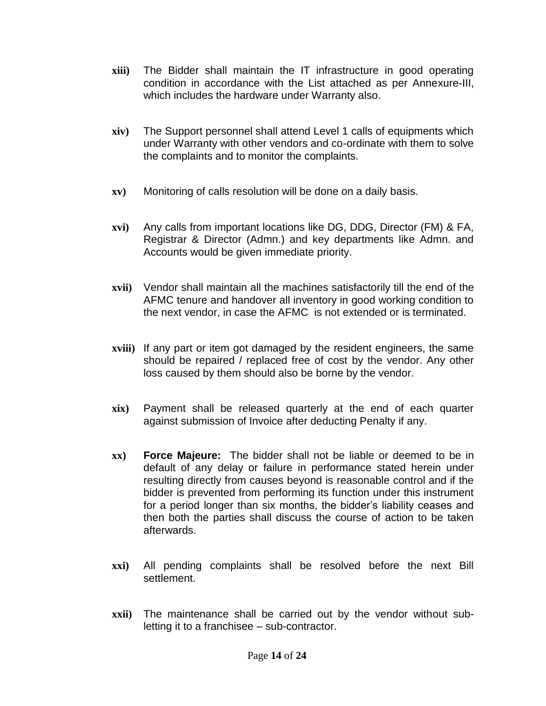- **xiii)** The Bidder shall maintain the IT infrastructure in good operating condition in accordance with the List attached as per Annexure-III, which includes the hardware under Warranty also.
- **xiv)** The Support personnel shall attend Level 1 calls of equipments which under Warranty with other vendors and co-ordinate with them to solve the complaints and to monitor the complaints.
- **xv)** Monitoring of calls resolution will be done on a daily basis.
- **xvi)** Any calls from important locations like DG, DDG, Director (FM) & FA, Registrar & Director (Admn.) and key departments like Admn. and Accounts would be given immediate priority.
- **xvii)** Vendor shall maintain all the machines satisfactorily till the end of the AFMC tenure and handover all inventory in good working condition to the next vendor, in case the AFMC is not extended or is terminated.
- **xviii)** If any part or item got damaged by the resident engineers, the same should be repaired / replaced free of cost by the vendor. Any other loss caused by them should also be borne by the vendor.
- **xix)** Payment shall be released quarterly at the end of each quarter against submission of Invoice after deducting Penalty if any.
- **xx) Force Majeure:** The bidder shall not be liable or deemed to be in default of any delay or failure in performance stated herein under resulting directly from causes beyond is reasonable control and if the bidder is prevented from performing its function under this instrument for a period longer than six months, the bidder's liability ceases and then both the parties shall discuss the course of action to be taken afterwards.
- **xxi)** All pending complaints shall be resolved before the next Bill settlement.
- **xxii)** The maintenance shall be carried out by the vendor without subletting it to a franchisee – sub-contractor.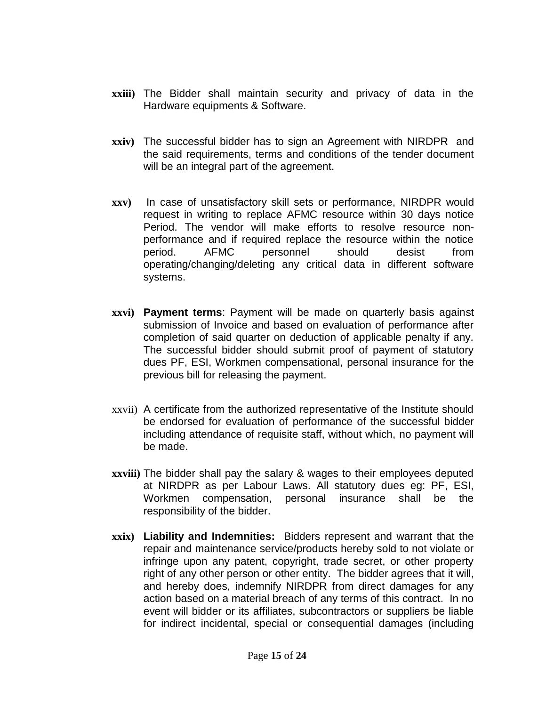- **xxiii)** The Bidder shall maintain security and privacy of data in the Hardware equipments & Software.
- **xxiv)** The successful bidder has to sign an Agreement with NIRDPR and the said requirements, terms and conditions of the tender document will be an integral part of the agreement.
- **xxv)** In case of unsatisfactory skill sets or performance, NIRDPR would request in writing to replace AFMC resource within 30 days notice Period. The vendor will make efforts to resolve resource nonperformance and if required replace the resource within the notice period. AFMC personnel should desist from operating/changing/deleting any critical data in different software systems.
- **xxvi) Payment terms**: Payment will be made on quarterly basis against submission of Invoice and based on evaluation of performance after completion of said quarter on deduction of applicable penalty if any. The successful bidder should submit proof of payment of statutory dues PF, ESI, Workmen compensational, personal insurance for the previous bill for releasing the payment.
- xxvii) A certificate from the authorized representative of the Institute should be endorsed for evaluation of performance of the successful bidder including attendance of requisite staff, without which, no payment will be made.
- **xxviii)** The bidder shall pay the salary & wages to their employees deputed at NIRDPR as per Labour Laws. All statutory dues eg: PF, ESI, Workmen compensation, personal insurance shall be the responsibility of the bidder.
- **xxix) Liability and Indemnities:** Bidders represent and warrant that the repair and maintenance service/products hereby sold to not violate or infringe upon any patent, copyright, trade secret, or other property right of any other person or other entity. The bidder agrees that it will, and hereby does, indemnify NIRDPR from direct damages for any action based on a material breach of any terms of this contract. In no event will bidder or its affiliates, subcontractors or suppliers be liable for indirect incidental, special or consequential damages (including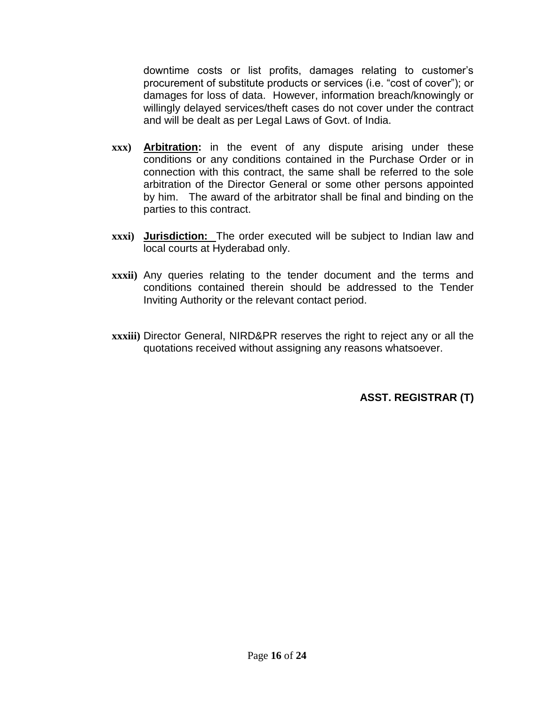downtime costs or list profits, damages relating to customer's procurement of substitute products or services (i.e. "cost of cover"); or damages for loss of data. However, information breach/knowingly or willingly delayed services/theft cases do not cover under the contract and will be dealt as per Legal Laws of Govt. of India.

- **xxx) Arbitration:** in the event of any dispute arising under these conditions or any conditions contained in the Purchase Order or in connection with this contract, the same shall be referred to the sole arbitration of the Director General or some other persons appointed by him. The award of the arbitrator shall be final and binding on the parties to this contract.
- **xxxi) Jurisdiction:** The order executed will be subject to Indian law and local courts at Hyderabad only.
- **xxxii)** Any queries relating to the tender document and the terms and conditions contained therein should be addressed to the Tender Inviting Authority or the relevant contact period.
- **xxxiii)** Director General, NIRD&PR reserves the right to reject any or all the quotations received without assigning any reasons whatsoever.

**ASST. REGISTRAR (T)**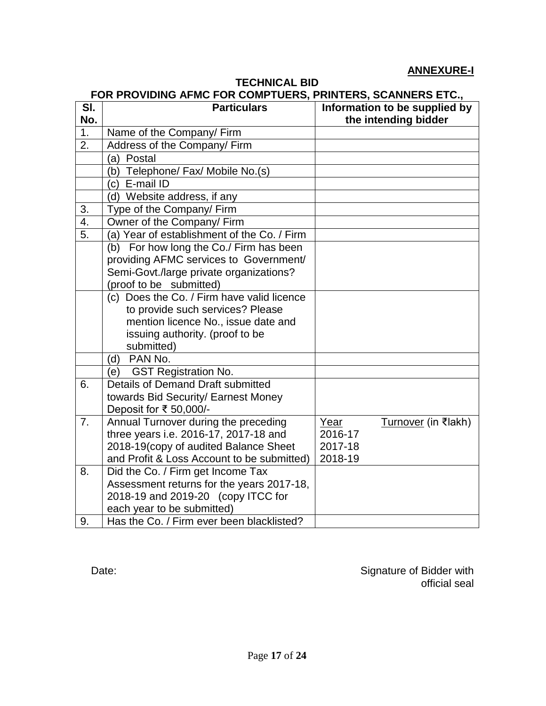### **ANNEXURE-I**

### **TECHNICAL BID**

#### **FOR PROVIDING AFMC FOR COMPTUERS, PRINTERS, SCANNERS ETC.,**

| SI. | <b>Particulars</b>                          | Information to be supplied by      |
|-----|---------------------------------------------|------------------------------------|
| No. |                                             | the intending bidder               |
| 1.  | Name of the Company/ Firm                   |                                    |
| 2.  | Address of the Company/Firm                 |                                    |
|     | (a) Postal                                  |                                    |
|     | b) Telephone/ Fax/ Mobile No.(s)            |                                    |
|     | (c) E-mail ID                               |                                    |
|     | d) Website address, if any                  |                                    |
| 3.  | Type of the Company/ Firm                   |                                    |
| 4.  | Owner of the Company/ Firm                  |                                    |
| 5.  | (a) Year of establishment of the Co. / Firm |                                    |
|     | (b) For how long the Co./ Firm has been     |                                    |
|     | providing AFMC services to Government/      |                                    |
|     | Semi-Govt./large private organizations?     |                                    |
|     | (proof to be submitted)                     |                                    |
|     | (c) Does the Co. / Firm have valid licence  |                                    |
|     | to provide such services? Please            |                                    |
|     | mention licence No., issue date and         |                                    |
|     | issuing authority. (proof to be             |                                    |
|     | submitted)                                  |                                    |
|     | (d) PAN No.                                 |                                    |
|     | <b>GST Registration No.</b><br>(e)          |                                    |
| 6.  | Details of Demand Draft submitted           |                                    |
|     | towards Bid Security/ Earnest Money         |                                    |
|     | Deposit for ₹ 50,000/-                      |                                    |
| 7.  | Annual Turnover during the preceding        | Year<br><u>Turnover</u> (in ₹lakh) |
|     | three years i.e. 2016-17, 2017-18 and       | 2016-17                            |
|     | 2018-19(copy of audited Balance Sheet       | 2017-18                            |
|     | and Profit & Loss Account to be submitted)  | 2018-19                            |
| 8.  | Did the Co. / Firm get Income Tax           |                                    |
|     | Assessment returns for the years 2017-18,   |                                    |
|     | 2018-19 and 2019-20 (copy ITCC for          |                                    |
|     | each year to be submitted)                  |                                    |
| 9.  | Has the Co. / Firm ever been blacklisted?   |                                    |

Date: Date: Signature of Bidder with official seal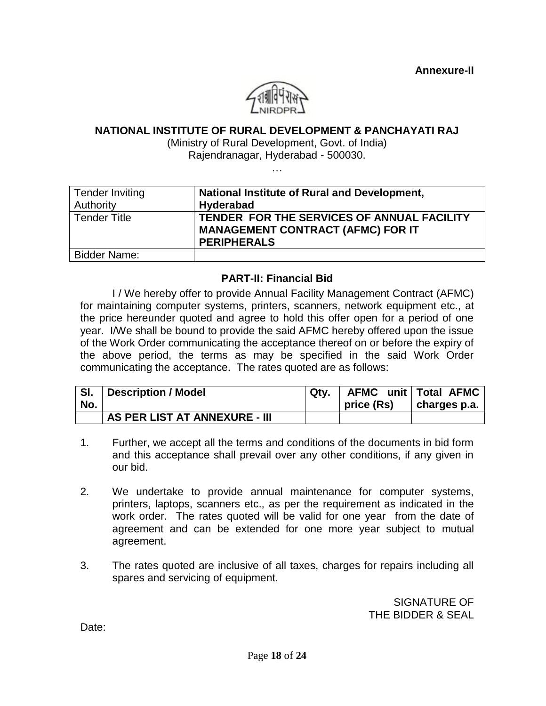

#### **NATIONAL INSTITUTE OF RURAL DEVELOPMENT & PANCHAYATI RAJ**

(Ministry of Rural Development, Govt. of India)

Rajendranagar, Hyderabad - 500030. …

| <b>Tender Inviting</b><br>Authority | National Institute of Rural and Development,<br>Hyderabad                                                    |
|-------------------------------------|--------------------------------------------------------------------------------------------------------------|
| <b>Tender Title</b>                 | TENDER FOR THE SERVICES OF ANNUAL FACILITY<br><b>MANAGEMENT CONTRACT (AFMC) FOR IT</b><br><b>PERIPHERALS</b> |
| <b>Bidder Name:</b>                 |                                                                                                              |

#### **PART-II: Financial Bid**

I / We hereby offer to provide Annual Facility Management Contract (AFMC) for maintaining computer systems, printers, scanners, network equipment etc., at the price hereunder quoted and agree to hold this offer open for a period of one year. I/We shall be bound to provide the said AFMC hereby offered upon the issue of the Work Order communicating the acceptance thereof on or before the expiry of the above period, the terms as may be specified in the said Work Order communicating the acceptance. The rates quoted are as follows:

| SI. | <b>Description / Model</b>    | Qtv. |            | AFMC unit   Total AFMC |
|-----|-------------------------------|------|------------|------------------------|
| No. |                               |      | price (Rs) | ∣ charges p.a.         |
|     | AS PER LIST AT ANNEXURE - III |      |            |                        |

- 1. Further, we accept all the terms and conditions of the documents in bid form and this acceptance shall prevail over any other conditions, if any given in our bid.
- 2. We undertake to provide annual maintenance for computer systems, printers, laptops, scanners etc., as per the requirement as indicated in the work order. The rates quoted will be valid for one year from the date of agreement and can be extended for one more year subject to mutual agreement.
- 3. The rates quoted are inclusive of all taxes, charges for repairs including all spares and servicing of equipment.

 SIGNATURE OF THE BIDDER & SEAL

Date: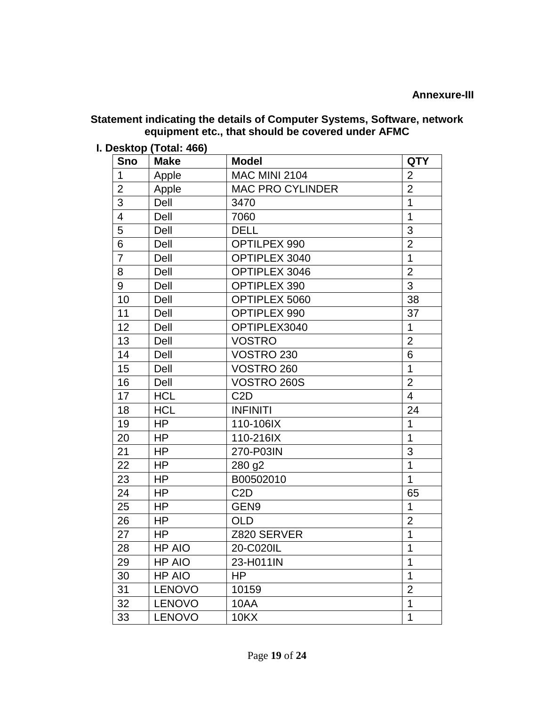## **Statement indicating the details of Computer Systems, Software, network equipment etc., that should be covered under AFMC**

**I. Desktop (Total: 466)**

| Sno                      | <b>Make</b>   | <b>Model</b>            | <b>QTY</b>     |
|--------------------------|---------------|-------------------------|----------------|
| 1                        | Apple         | <b>MAC MINI 2104</b>    | $\overline{2}$ |
| $\overline{2}$           | Apple         | <b>MAC PRO CYLINDER</b> | $\overline{2}$ |
| 3                        | Dell          | 3470                    | 1              |
| $\overline{\mathcal{A}}$ | Dell          | 7060                    | 1              |
| 5                        | Dell          | <b>DELL</b>             | 3              |
| 6                        | Dell          | OPTILPEX 990            | $\overline{2}$ |
| 7                        | Dell          | OPTIPLEX 3040           | $\mathbf 1$    |
| 8                        | Dell          | <b>OPTIPLEX 3046</b>    | $\overline{2}$ |
| 9                        | Dell          | OPTIPLEX 390            | 3              |
| 10                       | Dell          | OPTIPLEX 5060           | 38             |
| 11                       | Dell          | OPTIPLEX 990            | 37             |
| 12                       | Dell          | OPTIPLEX3040            | 1              |
| 13                       | Dell          | <b>VOSTRO</b>           | $\overline{2}$ |
| 14                       | Dell          | <b>VOSTRO 230</b>       | 6              |
| 15                       | Dell          | VOSTRO 260              | 1              |
| 16                       | Dell          | VOSTRO 260S             | $\overline{2}$ |
| 17                       | <b>HCL</b>    | C <sub>2</sub> D        | $\overline{4}$ |
| 18                       | <b>HCL</b>    | <b>INFINITI</b>         | 24             |
| 19                       | HP            | 110-106IX               | 1              |
| 20                       | <b>HP</b>     | 110-216IX               | 1              |
| 21                       | <b>HP</b>     | 270-P03IN               | 3              |
| 22                       | <b>HP</b>     | 280 g2                  | 1              |
| 23                       | <b>HP</b>     | B00502010               | $\mathbf{1}$   |
| 24                       | HP            | C <sub>2</sub> D        | 65             |
| 25                       | <b>HP</b>     | GEN9                    | 1              |
| 26                       | <b>HP</b>     | <b>OLD</b>              | $\overline{2}$ |
| 27                       | HP            | Z820 SERVER             | 1              |
| 28                       | <b>HP AIO</b> | 20-C020IL               | 1              |
| 29                       | <b>HP AIO</b> | 23-H011IN               | $\mathbf 1$    |
| 30                       | HP AIO        | HP                      | 1              |
| 31                       | <b>LENOVO</b> | 10159                   | $\overline{2}$ |
| 32                       | <b>LENOVO</b> | 10AA                    | 1              |
| 33                       | <b>LENOVO</b> | <b>10KX</b>             | 1              |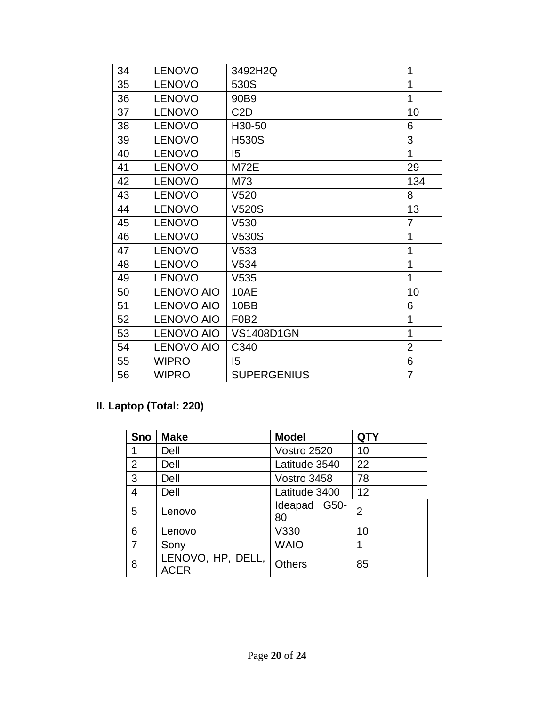| 34 | <b>LENOVO</b>     | 3492H2Q                       | 1              |
|----|-------------------|-------------------------------|----------------|
| 35 | <b>LENOVO</b>     | 530S                          | 1              |
| 36 | <b>LENOVO</b>     | 90B9                          | 1              |
| 37 | <b>LENOVO</b>     | C <sub>2</sub> D              | 10             |
| 38 | <b>LENOVO</b>     | H30-50                        | 6              |
| 39 | <b>LENOVO</b>     | <b>H530S</b>                  | 3              |
| 40 | <b>LENOVO</b>     | 15                            | 1              |
| 41 | <b>LENOVO</b>     | <b>M72E</b>                   | 29             |
| 42 | <b>LENOVO</b>     | M73                           | 134            |
| 43 | <b>LENOVO</b>     | V <sub>520</sub>              | 8              |
| 44 | <b>LENOVO</b>     | <b>V520S</b>                  | 13             |
| 45 | <b>LENOVO</b>     | V530                          | 7              |
| 46 | <b>LENOVO</b>     | V530S                         | 1              |
| 47 | <b>LENOVO</b>     | V533                          | 1              |
| 48 | <b>LENOVO</b>     | V534                          | 1              |
| 49 | <b>LENOVO</b>     | V <sub>535</sub>              | 1              |
| 50 | <b>LENOVO AIO</b> | 10AE                          | 10             |
| 51 | <b>LENOVO AIO</b> | 10BB                          | 6              |
| 52 | <b>LENOVO AIO</b> | F <sub>0</sub> B <sub>2</sub> | 1              |
| 53 | <b>LENOVO AIO</b> | <b>VS1408D1GN</b>             | 1              |
| 54 | <b>LENOVO AIO</b> | C340                          | $\overline{2}$ |
| 55 | <b>WIPRO</b>      | 15                            | 6              |
| 56 | <b>WIPRO</b>      | <b>SUPERGENIUS</b>            | $\overline{7}$ |

# **II. Laptop (Total: 220)**

| Sno            | <b>Make</b>                      | <b>Model</b>       | <b>QTY</b> |
|----------------|----------------------------------|--------------------|------------|
| 1              | Dell                             | Vostro 2520        | 10         |
| $\overline{2}$ | Dell                             | Latitude 3540      | 22         |
| 3              | Dell                             | Vostro 3458        | 78         |
| 4              | Dell                             | Latitude 3400      | 12         |
| 5              | Lenovo                           | Ideapad G50-<br>80 | 2          |
| 6              | Lenovo                           | V330               | 10         |
| $\overline{7}$ | Sony                             | <b>WAIO</b>        |            |
| 8              | LENOVO, HP, DELL,<br><b>ACER</b> | <b>Others</b>      | 85         |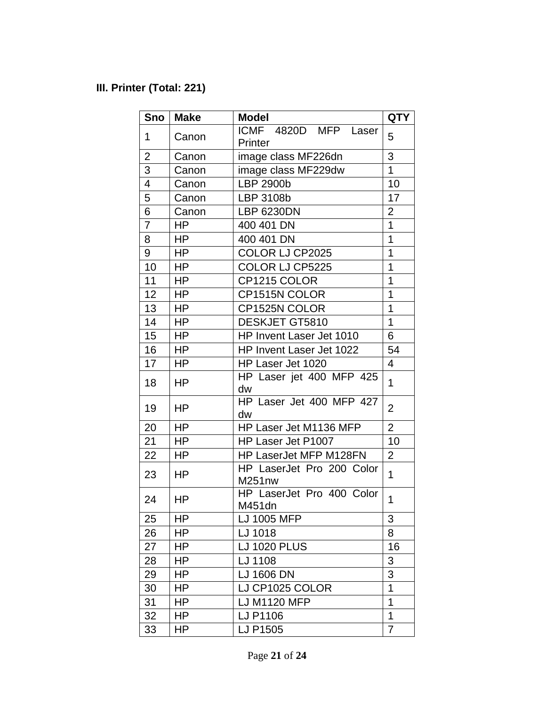# **III. Printer (Total: 221)**

| Sno                      | <b>Make</b> | <b>Model</b>                        | <b>QTY</b>     |
|--------------------------|-------------|-------------------------------------|----------------|
| 1                        | Canon       | ICMF 4820D MFP Laser<br>Printer     | 5              |
| $\overline{2}$           | Canon       | image class MF226dn                 | 3              |
| 3                        | Canon       | image class MF229dw                 | $\mathbf{1}$   |
| $\overline{\mathcal{A}}$ | Canon       | LBP 2900b                           | 10             |
| 5                        | Canon       | LBP 3108b                           | 17             |
| 6                        | Canon       | <b>LBP 6230DN</b>                   | 2              |
| $\overline{7}$           | <b>HP</b>   | 400 401 DN                          | 1              |
| 8                        | HP          | 400 401 DN                          | 1              |
| 9                        | HP          | COLOR LJ CP2025                     | 1              |
| 10                       | <b>HP</b>   | COLOR LJ CP5225                     | 1              |
| 11                       | HP          | CP1215 COLOR                        | 1              |
| 12                       | <b>HP</b>   | CP1515N COLOR                       | 1              |
| 13                       | HP          | CP1525N COLOR                       | 1              |
| 14                       | <b>HP</b>   | DESKJET GT5810                      | 1              |
| 15                       | <b>HP</b>   | HP Invent Laser Jet 1010            | 6              |
| 16                       | HP          | HP Invent Laser Jet 1022            | 54             |
| 17                       | <b>HP</b>   | HP Laser Jet 1020                   | $\overline{4}$ |
| 18                       | <b>HP</b>   | HP Laser jet 400 MFP 425<br>dw      | 1              |
| 19                       | HP          | HP Laser Jet 400 MFP 427<br>dw      | $\overline{2}$ |
| 20                       | <b>HP</b>   | HP Laser Jet M1136 MFP              | $\overline{2}$ |
| 21                       | HP          | HP Laser Jet P1007                  | 10             |
| 22                       | <b>HP</b>   | HP LaserJet MFP M128FN              | 2              |
| 23                       | <b>HP</b>   | HP LaserJet Pro 200 Color<br>M251nw | 1              |
| 24                       | <b>HP</b>   | HP LaserJet Pro 400 Color<br>M451dn | $\mathbf{1}$   |
| 25                       | HP          | LJ 1005 MFP                         | 3              |
| 26                       | HP          | LJ 1018                             | 8              |
| 27                       | HP          | <b>LJ 1020 PLUS</b>                 | 16             |
| 28                       | HP          | LJ 1108                             | 3              |
| 29                       | <b>HP</b>   | LJ 1606 DN                          | 3              |
| 30                       | HP          | LJ CP1025 COLOR                     | 1              |
| 31                       | HP          | LJ M1120 MFP                        | 1              |
| 32                       | <b>HP</b>   | LJ P1106                            | 1              |
| 33                       | HP          | LJ P1505                            | 7              |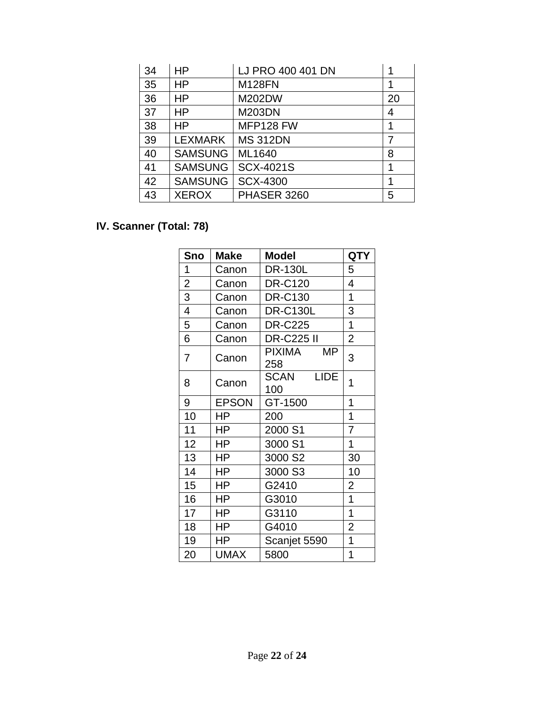| 34 | <b>HP</b>      | LJ PRO 400 401 DN | 1  |
|----|----------------|-------------------|----|
| 35 | HP             | <b>M128FN</b>     | 1  |
| 36 | <b>HP</b>      | M202DW            | 20 |
| 37 | <b>HP</b>      | <b>M203DN</b>     | 4  |
| 38 | <b>HP</b>      | MFP128 FW         | 1  |
| 39 | <b>LEXMARK</b> | <b>MS 312DN</b>   | 7  |
| 40 | <b>SAMSUNG</b> | ML1640            | 8  |
| 41 | <b>SAMSUNG</b> | <b>SCX-4021S</b>  | 1  |
| 42 | <b>SAMSUNG</b> | SCX-4300          | 1  |
| 43 | <b>XEROX</b>   | PHASER 3260       | 5  |

# **IV. Scanner (Total: 78)**

| Sno            | <b>Make</b>  | <b>Model</b>                      | <b>QTY</b>     |
|----------------|--------------|-----------------------------------|----------------|
| 1              | Canon        | <b>DR-130L</b>                    | 5              |
| $\overline{2}$ | Canon        | <b>DR-C120</b>                    | 4              |
| 3              | Canon        | <b>DR-C130</b>                    | 1              |
| 4              | Canon        | <b>DR-C130L</b>                   | 3              |
| 5              | Canon        | <b>DR-C225</b>                    | $\overline{1}$ |
| 6              | Canon        | <b>DR-C225 II</b>                 | $\overline{2}$ |
| 7              | Canon        | PIXIMA<br>MΡ<br>258               | 3              |
| 8              | Canon        | <b>SCAN</b><br><b>LIDE</b><br>100 | 1              |
| 9              | <b>EPSON</b> | GT-1500                           | 1              |
| 10             | ΗP           | 200                               | 1              |
| 11             | ΗP           | 2000 S1                           | 7              |
| 12             | HP.          | 3000 S1                           | 1              |
| 13             | HP           | 3000 S2                           | 30             |
| 14             | <b>HP</b>    | 3000 S3                           | 10             |
| 15             | HP           | G2410                             | $\overline{2}$ |
| 16             | HP           | G3010                             | $\overline{1}$ |
| 17             | ΗP           | G3110                             | $\overline{1}$ |
| 18             | ΗP           | G4010                             | $\overline{2}$ |
| 19             | ΗP           | Scanjet 5590                      | 1              |
| 20             | <b>UMAX</b>  | 5800                              | 1              |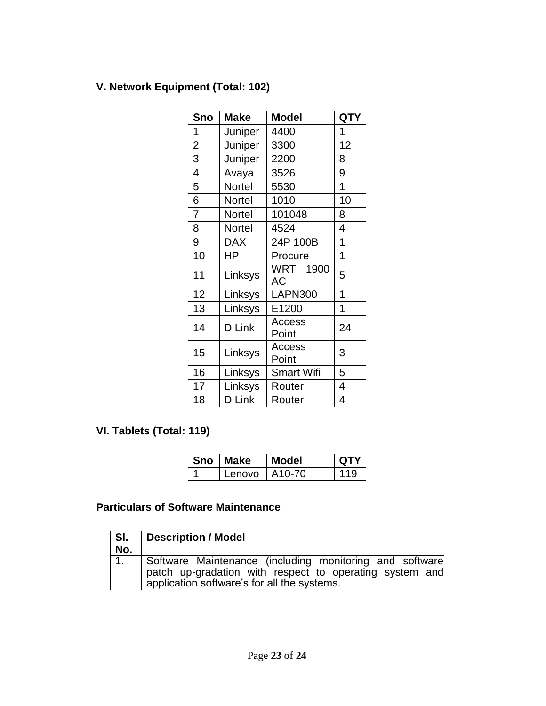# **V. Network Equipment (Total: 102)**

| Sno            | <b>Make</b>   | <b>Model</b>          | <b>QTY</b> |
|----------------|---------------|-----------------------|------------|
| 1              | Juniper       | 4400                  | 1          |
| $\overline{2}$ | Juniper       | 3300                  | 12         |
| 3              | Juniper       | 2200                  | 8          |
| 4              | Avaya         | 3526                  | 9          |
| 5              | <b>Nortel</b> | 5530                  | 1          |
| 6              | Nortel        | 1010                  | 10         |
| $\overline{7}$ | Nortel        | 101048                | 8          |
| 8              | Nortel        | 4524                  | 4          |
| 9              | <b>DAX</b>    | 24P 100B              | 1          |
| 10             | HP            | Procure               | 1          |
| 11             | Linksys       | <b>WRT 1900</b><br>AC | 5          |
| 12             | Linksys       | <b>LAPN300</b>        | 1          |
| 13             | Linksys       | E1200                 | 1          |
| 14             | D Link        | Access<br>Point       | 24         |
| 15             | Linksys       | Access<br>Point       | 3          |
| 16             | Linksys       | Smart Wifi            | 5          |
| 17             | Linksys       | Router                | 4          |
| 18             | D Link        | Router                | 4          |

# **VI. Tablets (Total: 119)**

| <b>Sno</b> | Make   | Model               | ОТУ |
|------------|--------|---------------------|-----|
|            | Lenovo | A <sub>10</sub> -70 |     |

# **Particulars of Software Maintenance**

| SI.<br>No. | Description / Model                                                                                                                                               |
|------------|-------------------------------------------------------------------------------------------------------------------------------------------------------------------|
| 1.         | Software Maintenance (including monitoring and software<br>patch up-gradation with respect to operating system and<br>application software's for all the systems. |